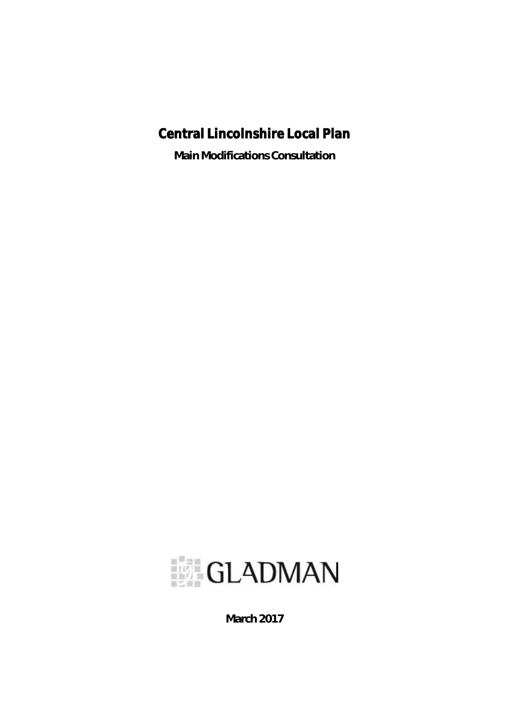# Central Lincolnshire Local Plan

**Main Modifications Consultation**



**March 2017**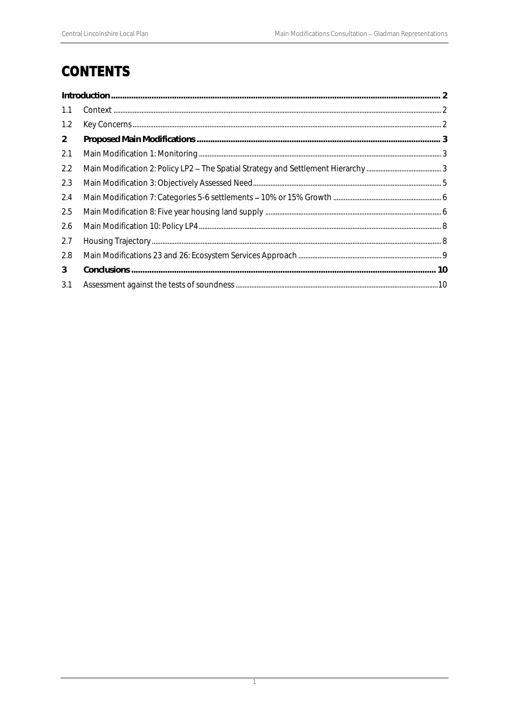# **CONTENTS**

| 1.1            |  |  |
|----------------|--|--|
| 1.2            |  |  |
| $\overline{2}$ |  |  |
| 2.1            |  |  |
| 2.2            |  |  |
| 2.3            |  |  |
| 2.4            |  |  |
| 2.5            |  |  |
| 2.6            |  |  |
| 2.7            |  |  |
| 2.8            |  |  |
| 3              |  |  |
| 3.1            |  |  |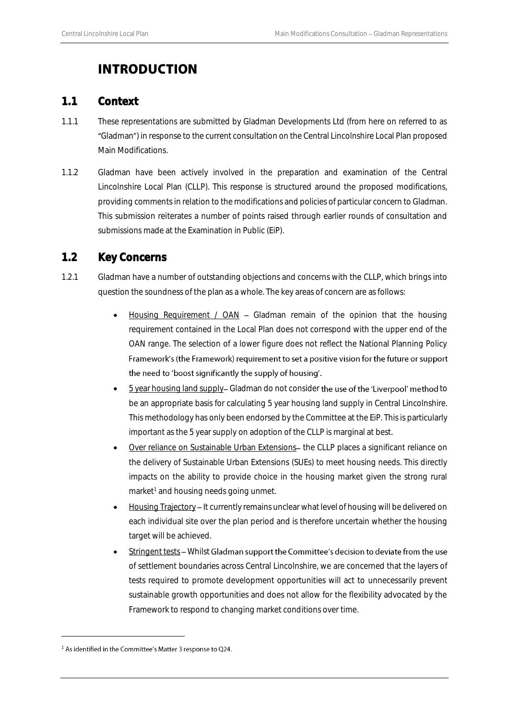## <span id="page-2-0"></span>**INTRODUCTION**

### <span id="page-2-1"></span>1.1 Context

- 1.1.1 These representations are submitted by Gladman Developments Ltd (from here on referred to as "Gladman") in response to the current consultation on the Central Lincolnshire Local Plan proposed Main Modifications.
- 1.1.2 Gladman have been actively involved in the preparation and examination of the Central Lincolnshire Local Plan (CLLP). This response is structured around the proposed modifications, providing comments in relation to the modifications and policies of particular concern to Gladman. This submission reiterates a number of points raised through earlier rounds of consultation and submissions made at the Examination in Public (EiP).

## <span id="page-2-2"></span>1.2 Key Concerns

- 1.2.1 Gladman have a number of outstanding objections and concerns with the CLLP, which brings into question the soundness of the plan as a whole. The key areas of concern are as follows:
	- Housing Requirement /  $OAN Gladman$  remain of the opinion that the housing requirement contained in the Local Plan does not correspond with the upper end of the OAN range. The selection of a lower figure does not reflect the National Planning Policy Framework's (the Framework) requirement to set a positive vision for the future or support the need to 'boost significantly the supply of housing'.
	- 5 year housing land supply- Gladman do not consider the use of the 'Liverpool' method to be an appropriate basis for calculating 5 year housing land supply in Central Lincolnshire. This methodology has only been endorsed by the Committee at the EiP. This is particularly important as the 5 year supply on adoption of the CLLP is marginal at best.
	- Over reliance on Sustainable Urban Extensions- the CLLP places a significant reliance on the delivery of Sustainable Urban Extensions (SUEs) to meet housing needs. This directly impacts on the ability to provide choice in the housing market given the strong rural market<sup>1</sup> and housing needs going unmet.
	- Housing Trajectory It currently remains unclear what level of housing will be delivered on each individual site over the plan period and is therefore uncertain whether the housing target will be achieved.
	- Stringent tests Whilst Gladman support the Committee's decision to deviate from the use of settlement boundaries across Central Lincolnshire, we are concerned that the layers of tests required to promote development opportunities will act to unnecessarily prevent sustainable growth opportunities and does not allow for the flexibility advocated by the Framework to respond to changing market conditions over time.

1

<sup>&</sup>lt;sup>1</sup> As identified in the Committee's Matter 3 response to Q24.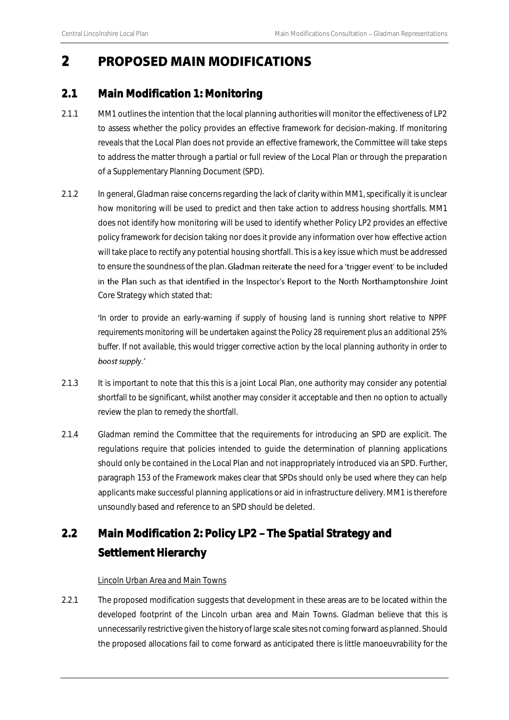## <span id="page-3-0"></span>2 PROPOSED MAIN MODIFICATIONS

### <span id="page-3-1"></span>2.1 Main Modification 1: Monitoring

- 2.1.1 MM1 outlines the intention that the local planning authorities will monitor the effectiveness of LP2 to assess whether the policy provides an effective framework for decision-making. If monitoring reveals that the Local Plan does not provide an effective framework, the Committee will take steps to address the matter through a partial or full review of the Local Plan or through the preparation of a Supplementary Planning Document (SPD).
- 2.1.2 In general, Gladman raise concerns regarding the lack of clarity within MM1, specifically it is unclear how monitoring will be used to predict and then take action to address housing shortfalls. MM1 does not identify how monitoring will be used to identify whether Policy LP2 provides an effective policy framework for decision taking nor does it provide any information over how effective action will take place to rectify any potential housing shortfall. This is a key issue which must be addressed to ensure the soundness of the plan. Gladman reiterate the need for a 'trigger event' to be included in the Plan such as that identified in the Inspector's Report to the North Northamptonshire Joint Core Strategy which stated that:

*In order to provide an early-warning if supply of housing land is running short relative to NPPF requirements monitoring will be undertaken against the Policy 28 requirement plus an additional 25% buffer. If not available, this would trigger corrective action by the local planning authority in order to*  boost supply.'

- 2.1.3 It is important to note that this this is a joint Local Plan, one authority may consider any potential shortfall to be significant, whilst another may consider it acceptable and then no option to actually review the plan to remedy the shortfall.
- 2.1.4 Gladman remind the Committee that the requirements for introducing an SPD are explicit. The regulations require that policies intended to guide the determination of planning applications should only be contained in the Local Plan and not inappropriately introduced via an SPD. Further, paragraph 153 of the Framework makes clear that SPDs should only be used where they can help applicants make successful planning applications or aid in infrastructure delivery. MM1 is therefore unsoundly based and reference to an SPD should be deleted.

## <span id="page-3-2"></span>2.2 Main Modification 2: Policy LP2 - The Spatial Strategy and Settlement Hierarchy

#### Lincoln Urban Area and Main Towns

2.2.1 The proposed modification suggests that development in these areas are to be located within the developed footprint of the Lincoln urban area and Main Towns. Gladman believe that this is unnecessarily restrictive given the history of large scale sites not coming forward as planned. Should the proposed allocations fail to come forward as anticipated there is little manoeuvrability for the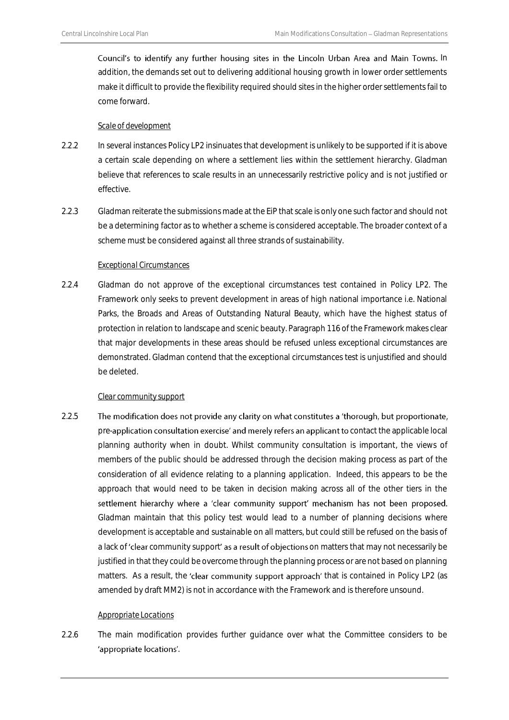Council's to identify any further housing sites in the Lincoln Urban Area and Main Towns. In addition, the demands set out to delivering additional housing growth in lower order settlements make it difficult to provide the flexibility required should sites in the higher order settlements fail to come forward.

#### *Scale of development*

- 2.2.2 In several instances Policy LP2 insinuates that development is unlikely to be supported if it is above a certain scale depending on where a settlement lies within the settlement hierarchy. Gladman believe that references to scale results in an unnecessarily restrictive policy and is not justified or effective.
- 2.2.3 Gladman reiterate the submissions made at the EiP that scale is only one such factor and should not be a determining factor as to whether a scheme is considered acceptable. The broader context of a scheme must be considered against all three strands of sustainability.

#### *Exceptional Circumstances*

2.2.4 Gladman do not approve of the exceptional circumstances test contained in Policy LP2. The Framework only seeks to prevent development in areas of high national importance i.e. National Parks, the Broads and Areas of Outstanding Natural Beauty, which have the highest status of protection in relation to landscape and scenic beauty. Paragraph 116 of the Framework makes clear that major developments in these areas should be refused unless exceptional circumstances are demonstrated. Gladman contend that the exceptional circumstances test is unjustified and should be deleted.

#### *Clear community support*

2.2.5 The modification does not provide any clarity on what constitutes a 'thorough, but proportionate, pre-application consultation exercise' and merely refers an applicant to contact the applicable local planning authority when in doubt. Whilst community consultation is important, the views of members of the public should be addressed through the decision making process as part of the consideration of all evidence relating to a planning application. Indeed, this appears to be the approach that would need to be taken in decision making across all of the other tiers in the settlement hierarchy where a 'clear community support' mechanism has not been proposed. Gladman maintain that this policy test would lead to a number of planning decisions where development is acceptable and sustainable on all matters, but could still be refused on the basis of a lack of 'clear community support' as a result of objections on matters that may not necessarily be justified in that they could be overcome through the planning process or are not based on planning matters. As a result, the 'clear community support approach' that is contained in Policy LP2 (as amended by draft MM2) is not in accordance with the Framework and is therefore unsound.

#### *Appropriate Locations*

2.2.6 The main modification provides further quidance over what the Committee considers to be 'appropriate locations'.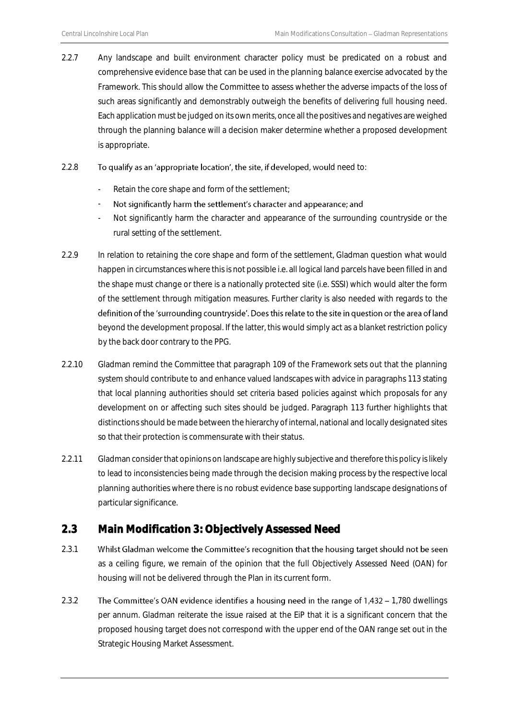2.2.7 Any landscape and built environment character policy must be predicated on a robust and comprehensive evidence base that can be used in the planning balance exercise advocated by the Framework. This should allow the Committee to assess whether the adverse impacts of the loss of such areas significantly and demonstrably outweigh the benefits of delivering full housing need. Each application must be judged on its own merits, once all the positives and negatives are weighed through the planning balance will a decision maker determine whether a proposed development is appropriate.

#### $2.2.8$  To qualify as an 'appropriate location', the site, if developed, would need to:

- Retain the core shape and form of the settlement;
- Not significantly harm the settlement's character and appearance; and -
- Not significantly harm the character and appearance of the surrounding countryside or the rural setting of the settlement.
- 2.2.9 In relation to retaining the core shape and form of the settlement, Gladman question what would happen in circumstances where this is not possible i.e. all logical land parcels have been filled in and the shape must change or there is a nationally protected site (i.e. SSSI) which would alter the form of the settlement through mitigation measures. Further clarity is also needed with regards to the definition of the 'surrounding countryside'. Does this relate to the site in question or the area of land beyond the development proposal. If the latter, this would simply act as a blanket restriction policy by the back door contrary to the PPG.
- 2.2.10 Gladman remind the Committee that paragraph 109 of the Framework sets out that the planning system should contribute to and enhance valued landscapes with advice in paragraphs 113 stating that local planning authorities should set criteria based policies against which proposals for any development on or affecting such sites should be judged. Paragraph 113 further highlights that distinctions should be made between the hierarchy of internal, national and locally designated sites so that their protection is commensurate with their status.
- 2.2.11 Gladman consider that opinions on landscape are highly subjective and therefore this policy is likely to lead to inconsistencies being made through the decision making process by the respective local planning authorities where there is no robust evidence base supporting landscape designations of particular significance.

## <span id="page-5-0"></span>2.3 Main Modification 3: Objectively Assessed Need

- 2.3.1 Whilst Gladman welcome the Committee's recognition that the housing target should not be seen as a ceiling figure, we remain of the opinion that the full Objectively Assessed Need (OAN) for housing will not be delivered through the Plan in its current form.
- 2.3.2 The Committee's OAN evidence identifies a housing need in the range of 1,432 1,780 dwellings per annum. Gladman reiterate the issue raised at the EiP that it is a significant concern that the proposed housing target does not correspond with the upper end of the OAN range set out in the Strategic Housing Market Assessment.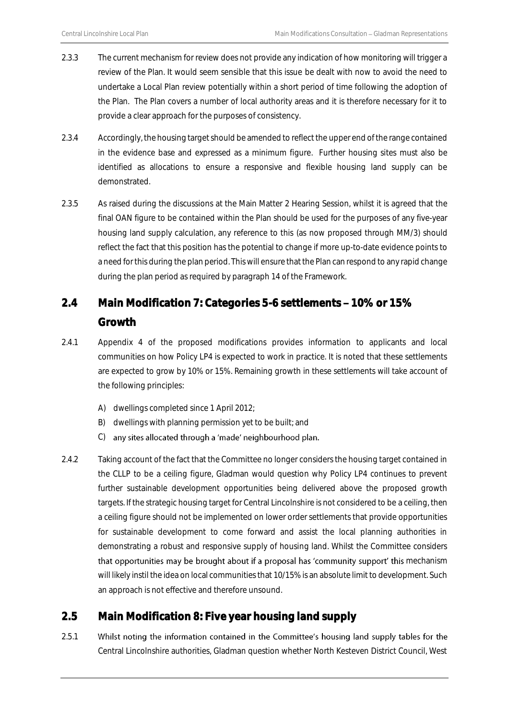- 2.3.3 The current mechanism for review does not provide any indication of how monitoring will trigger a review of the Plan. It would seem sensible that this issue be dealt with now to avoid the need to undertake a Local Plan review potentially within a short period of time following the adoption of the Plan. The Plan covers a number of local authority areas and it is therefore necessary for it to provide a clear approach for the purposes of consistency.
- 2.3.4 Accordingly, the housing target should be amended to reflect the upper end of the range contained in the evidence base and expressed as a minimum figure. Further housing sites must also be identified as allocations to ensure a responsive and flexible housing land supply can be demonstrated.
- 2.3.5 As raised during the discussions at the Main Matter 2 Hearing Session, whilst it is agreed that the final OAN figure to be contained within the Plan should be used for the purposes of any five-year housing land supply calculation, any reference to this (as now proposed through MM/3) should reflect the fact that this position has the potential to change if more up-to-date evidence points to a need for this during the plan period. This will ensure that the Plan can respond to any rapid change during the plan period as required by paragraph 14 of the Framework.

## <span id="page-6-0"></span>2.4 Main Modification 7: Categories 5-6 settlements - 10% or 15% **Growth**

- 2.4.1 Appendix 4 of the proposed modifications provides information to applicants and local communities on how Policy LP4 is expected to work in practice. It is noted that these settlements are expected to grow by 10% or 15%. Remaining growth in these settlements will take account of the following principles:
	- A) dwellings completed since 1 April 2012;
	- B) dwellings with planning permission yet to be built; and
	- C) any sites allocated through a 'made' neighbourhood plan.
- 2.4.2 Taking account of the fact that the Committee no longer considers the housing target contained in the CLLP to be a ceiling figure, Gladman would question why Policy LP4 continues to prevent further sustainable development opportunities being delivered above the proposed growth targets. If the strategic housing target for Central Lincolnshire is not considered to be a ceiling, then a ceiling figure should not be implemented on lower order settlements that provide opportunities for sustainable development to come forward and assist the local planning authorities in demonstrating a robust and responsive supply of housing land. Whilst the Committee considers that opportunities may be brought about if a proposal has 'community support' this mechanism will likely instil the idea on local communities that 10/15% is an absolute limit to development. Such an approach is not effective and therefore unsound.

### <span id="page-6-1"></span>2.5 Main Modification 8: Five year housing land supply

2.5.1 Whilst noting the information contained in the Committee's housing land supply tables for the Central Lincolnshire authorities, Gladman question whether North Kesteven District Council, West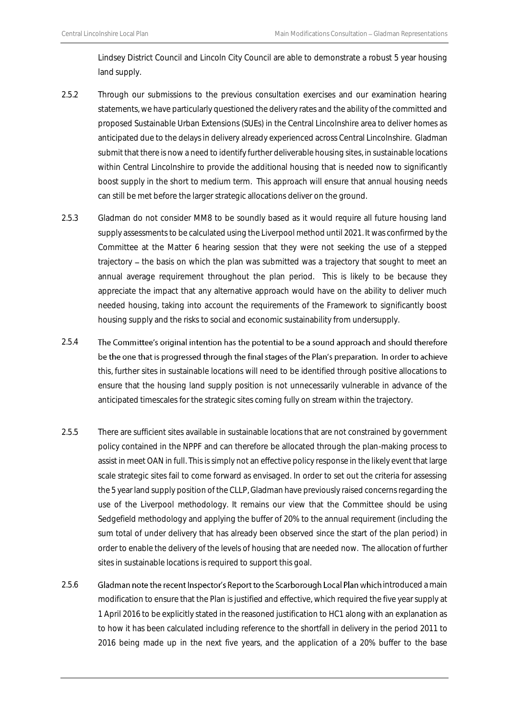Lindsey District Council and Lincoln City Council are able to demonstrate a robust 5 year housing land supply.

- 2.5.2 Through our submissions to the previous consultation exercises and our examination hearing statements, we have particularly questioned the delivery rates and the ability of the committed and proposed Sustainable Urban Extensions (SUEs) in the Central Lincolnshire area to deliver homes as anticipated due to the delays in delivery already experienced across Central Lincolnshire. Gladman submit that there is now a need to identify further deliverable housing sites, in sustainable locations within Central Lincolnshire to provide the additional housing that is needed now to significantly boost supply in the short to medium term. This approach will ensure that annual housing needs can still be met before the larger strategic allocations deliver on the ground.
- 2.5.3 Gladman do not consider MM8 to be soundly based as it would require all future housing land supply assessments to be calculated using the Liverpool method until 2021. It was confirmed by the Committee at the Matter 6 hearing session that they were not seeking the use of a stepped trajectory – the basis on which the plan was submitted was a trajectory that sought to meet an annual average requirement throughout the plan period. This is likely to be because they appreciate the impact that any alternative approach would have on the ability to deliver much needed housing, taking into account the requirements of the Framework to significantly boost housing supply and the risks to social and economic sustainability from undersupply.
- 2.5.4 The Committee's original intention has the potential to be a sound approach and should therefore be the one that is progressed through the final stages of the Plan's preparation. In order to achieve this, further sites in sustainable locations will need to be identified through positive allocations to ensure that the housing land supply position is not unnecessarily vulnerable in advance of the anticipated timescales for the strategic sites coming fully on stream within the trajectory.
- 2.5.5 There are sufficient sites available in sustainable locations that are not constrained by government policy contained in the NPPF and can therefore be allocated through the plan-making process to assist in meet OAN in full. This is simply not an effective policy response in the likely event that large scale strategic sites fail to come forward as envisaged. In order to set out the criteria for assessing the 5 year land supply position of the CLLP, Gladman have previously raised concerns regarding the use of the Liverpool methodology. It remains our view that the Committee should be using Sedgefield methodology and applying the buffer of 20% to the annual requirement (including the sum total of under delivery that has already been observed since the start of the plan period) in order to enable the delivery of the levels of housing that are needed now. The allocation of further sites in sustainable locations is required to support this goal.
- 2.5.6 Gladman note the recent Inspector's Report to the Scarborough Local Plan which introduced a main modification to ensure that the Plan is justified and effective, which required the five year supply at 1 April 2016 to be explicitly stated in the reasoned justification to HC1 along with an explanation as to how it has been calculated including reference to the shortfall in delivery in the period 2011 to 2016 being made up in the next five years, and the application of a 20% buffer to the base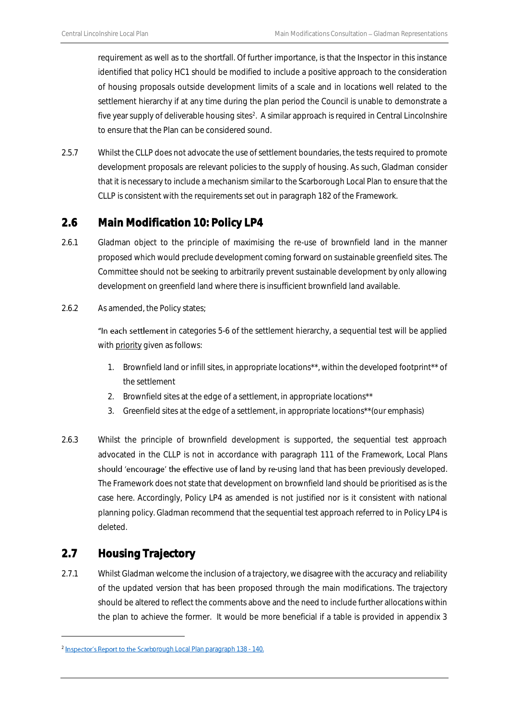requirement as well as to the shortfall. Of further importance, is that the Inspector in this instance identified that policy HC1 should be modified to include a positive approach to the consideration of housing proposals outside development limits of a scale and in locations well related to the settlement hierarchy if at any time during the plan period the Council is unable to demonstrate a five year supply of deliverable housing sites<sup>2</sup>. A similar approach is required in Central Lincolnshire to ensure that the Plan can be considered sound.

2.5.7 Whilst the CLLP does not advocate the use of settlement boundaries, the tests required to promote development proposals are relevant policies to the supply of housing. As such, Gladman consider that it is necessary to include a mechanism similar to the Scarborough Local Plan to ensure that the CLLP is consistent with the requirements set out in paragraph 182 of the Framework.

## <span id="page-8-0"></span>2.6 Main Modification 10: Policy LP4

- 2.6.1 Gladman object to the principle of maximising the re-use of brownfield land in the manner proposed which would preclude development coming forward on sustainable greenfield sites. The Committee should not be seeking to arbitrarily prevent sustainable development by only allowing development on greenfield land where there is insufficient brownfield land available.
- 2.6.2 As amended, the Policy states;

"In each settlement in categories 5-6 of the settlement hierarchy, a sequential test will be applied with priority given as follows:

- 1. Brownfield land or infill sites, in appropriate locations\*\*, within the developed footprint\*\* of the settlement
- 2. Brownfield sites at the edge of a settlement, in appropriate locations\*\*
- 3. Greenfield sites at the edge of a settlement, in appropriate locations\*\*(our emphasis)
- 2.6.3 Whilst the principle of brownfield development is supported, the sequential test approach advocated in the CLLP is not in accordance with paragraph 111 of the Framework, Local Plans should 'encourage' the effective use of land by re-using land that has been previously developed. The Framework does not state that development on brownfield land should be prioritised as is the case here. Accordingly, Policy LP4 as amended is not justified nor is it consistent with national planning policy. Gladman recommend that the sequential test approach referred to in Policy LP4 is deleted.

## <span id="page-8-1"></span>2.7 Housing Trajectory

1

2.7.1 Whilst Gladman welcome the inclusion of a trajectory, we disagree with the accuracy and reliability of the updated version that has been proposed through the main modifications. The trajectory should be altered to reflect the comments above and the need to include further allocations within the plan to achieve the former. It would be more beneficial if a table is provided in appendix 3

<sup>&</sup>lt;sup>2</sup> Inspector's Report to the Scarb[orough Local Plan paragraph 138 -](http://uploads.scarborough.gov.uk/localplanexamination/docs/Report_on_the_Examination_into_the_Scarborough_Borough_Local_Plan_Feb2017.pdf) 140.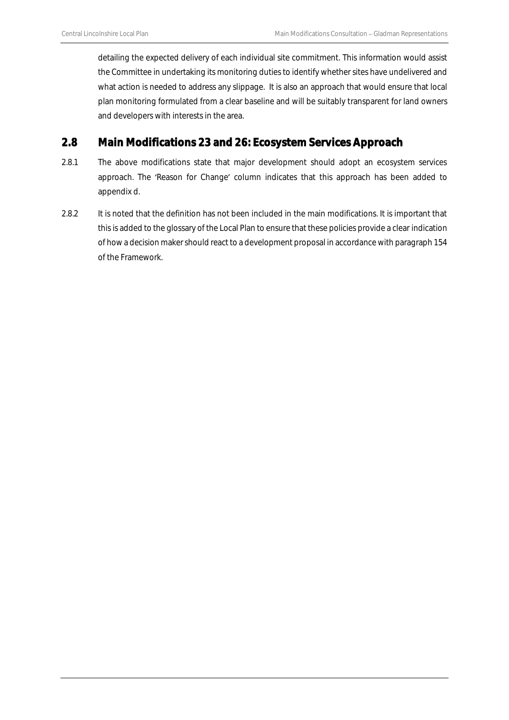detailing the expected delivery of each individual site commitment. This information would assist the Committee in undertaking its monitoring duties to identify whether sites have undelivered and what action is needed to address any slippage. It is also an approach that would ensure that local plan monitoring formulated from a clear baseline and will be suitably transparent for land owners and developers with interests in the area.

### <span id="page-9-0"></span>2.8 Main Modifications 23 and 26: Ecosystem Services Approach

- 2.8.1 The above modifications state that major development should adopt an ecosystem services approach. The 'Reason for Change' column indicates that this approach has been added to appendix d.
- 2.8.2 It is noted that the definition has not been included in the main modifications. It is important that this is added to the glossary of the Local Plan to ensure that these policies provide a clear indication of how a decision maker should react to a development proposal in accordance with paragraph 154 of the Framework.